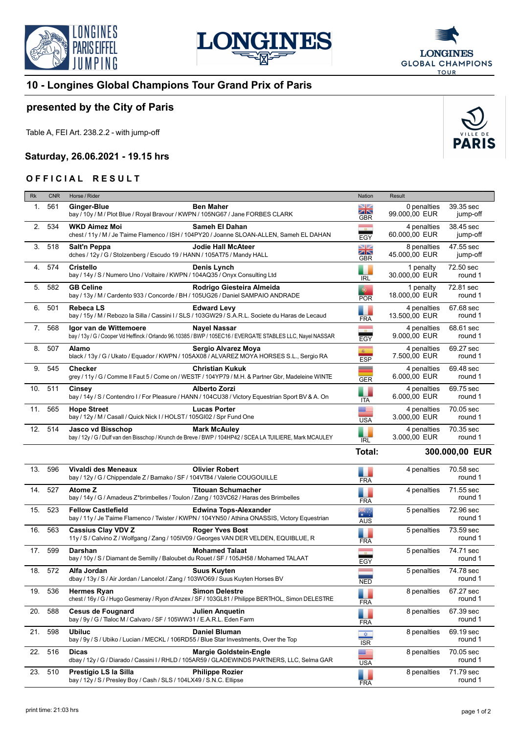





## **10 - Longines Global Champions Tour Grand Prix of Paris**

## **presented by the City of Paris**

Table A, FEI Art. 238.2.2 - with jump-off

## **Saturday, 26.06.2021 - 19.15 hrs**

## **OFFICIAL RESULT**

| Rk  | <b>CNR</b> | Horse / Rider                                                                                                                                               | Nation                              | Result                       |                       |
|-----|------------|-------------------------------------------------------------------------------------------------------------------------------------------------------------|-------------------------------------|------------------------------|-----------------------|
| 1.  | 561        | <b>Ginger-Blue</b><br><b>Ben Maher</b><br>bay / 10y / M / Plot Blue / Royal Bravour / KWPN / 105NG67 / Jane FORBES CLARK                                    | NZ<br>ZN<br><b>GBR</b>              | 0 penalties<br>99.000,00 EUR | 39.35 sec<br>jump-off |
| 2.  | 534        | <b>WKD Aimez Moi</b><br>Sameh El Dahan<br>chest / 11y / M / Je Taime Flamenco / ISH / 104PY20 / Joanne SLOAN-ALLEN, Sameh EL DAHAN                          | EGY                                 | 4 penalties<br>60.000,00 EUR | 38.45 sec<br>jump-off |
| 3.  | 518        | Salt'n Peppa<br><b>Jodie Hall McAteer</b><br>dches / 12y / G / Stolzenberg / Escudo 19 / HANN / 105AT75 / Mandy HALL                                        | NZ<br>$\times$<br><b>GBR</b>        | 8 penalties<br>45.000.00 EUR | 47.55 sec<br>jump-off |
| 4.  | 574        | <b>Cristello</b><br>Denis Lynch<br>bay / 14y / S / Numero Uno / Voltaire / KWPN / 104AQ35 / Onyx Consulting Ltd                                             | <b>IRL</b>                          | 1 penalty<br>30.000,00 EUR   | 72.50 sec<br>round 1  |
| 5.  | 582        | <b>GB Celine</b><br>Rodrigo Giesteira Almeida<br>bay / 13y / M / Cardento 933 / Concorde / BH / 105UG26 / Daniel SAMPAIO ANDRADE                            | <b>POR</b>                          | 1 penalty<br>18.000,00 EUR   | 72.81 sec<br>round 1  |
| 6.  | 501        | Rebeca LS<br><b>Edward Levy</b><br>bay / 15y / M / Rebozo la Silla / Cassini I / SLS / 103GW29 / S.A.R.L. Societe du Haras de Lecaud                        | <b>FRA</b>                          | 4 penalties<br>13.500,00 EUR | 67.68 sec<br>round 1  |
|     | 7. 568     | Igor van de Wittemoere<br>Nayel Nassar<br>bay / 13y / G / Cooper Vd Heffinck / Orlando 96.10385 / BWP / 105EC16 / EVERGATE STABLES LLC, Nayel NASSAR        | $\frac{1}{2}$<br>EGY                | 4 penalties<br>9.000,00 EUR  | 68.61 sec<br>round 1  |
| 8.  | 507        | Alamo<br>Sergio Alvarez Moya<br>black / 13y / G / Ukato / Equador / KWPN / 105AX08 / ALVAREZ MOYA HORSES S.L., Sergio RA                                    | 图<br><b>ESP</b>                     | 4 penalties<br>7.500,00 EUR  | 69.27 sec<br>round 1  |
| 9.  | 545        | <b>Checker</b><br><b>Christian Kukuk</b><br>grey / 11y / G / Comme II Faut 5 / Come on / WESTF / 104YP79 / M.H. & Partner Gbr, Madeleine WINTE              | --<br><b>GER</b>                    | 4 penalties<br>6.000,00 EUR  | 69.48 sec<br>round 1  |
| 10. | 511        | <b>Alberto Zorzi</b><br>Cinsey<br>bay / 14y / S / Contendro I / For Pleasure / HANN / 104CU38 / Victory Equestrian Sport BV & A. On                         | <b>ITA</b>                          | 4 penalties<br>6.000,00 EUR  | 69.75 sec<br>round 1  |
| 11. | 565        | <b>Hope Street</b><br><b>Lucas Porter</b><br>bay / 12y / M / Casall / Quick Nick I / HOLST / 105GI02 / Spr Fund One                                         | <b>USA</b>                          | 4 penalties<br>3.000,00 EUR  | 70.05 sec<br>round 1  |
|     | 12. 514    | <b>Jasco vd Bisschop</b><br><b>Mark McAuley</b><br>bay / 12y / G / Dulf van den Bisschop / Krunch de Breve / BWP / 104HP42 / SCEA LA TUILIERE, Mark MCAULEY |                                     | 4 penalties<br>3.000,00 EUR  | 70.35 sec<br>round 1  |
|     |            |                                                                                                                                                             |                                     |                              |                       |
|     |            |                                                                                                                                                             | <b>IRL</b><br>Total:                |                              | 300.000,00 EUR        |
|     | 13. 596    | <b>Olivier Robert</b><br>Vivaldi des Meneaux<br>bay / 12y / G / Chippendale Z / Bamako / SF / 104VT84 / Valerie COUGOUILLE                                  | <b>FRA</b>                          | 4 penalties                  | 70.58 sec<br>round 1  |
| 14. | 527        | <b>Titouan Schumacher</b><br><b>Atome Z</b><br>bay / 14y / G / Amadeus Z*brimbelles / Toulon / Zang / 103VC62 / Haras des Brimbelles                        | $\blacklozenge$<br><b>FRA</b>       | 4 penalties                  | 71.55 sec<br>round 1  |
| 15. | 523        | <b>Fellow Castlefield</b><br><b>Edwina Tops-Alexander</b><br>bay / 11y / Je Taime Flamenco / Twister / KWPN / 104YN50 / Athina ONASSIS, Victory Equestrian  | त्रह∵<br>*                          | 5 penalties                  | 72.96 sec<br>round 1  |
| 16. | 563        | <b>Cassius Clay VDV Z</b><br><b>Roger Yves Bost</b><br>11y / S / Calvino Z / Wolfgang / Zang / 105IV09 / Georges VAN DER VELDEN, EQUIBLUE, R                | <b>AUS</b>                          | 5 penalties                  | 73.59 sec<br>round 1  |
|     | 17. 599    | <b>Mohamed Talaat</b><br>Darshan<br>bay / 10y / S / Diamant de Semilly / Baloubet du Rouet / SF / 105JH58 / Mohamed TALAAT                                  | <b>FRA</b>                          | 5 penalties                  | 74.71 sec<br>round 1  |
|     | 18. 572    | Alfa Jordan<br><b>Suus Kuyten</b><br>dbay / 13y / S / Air Jordan / Lancelot / Zang / 103WO69 / Suus Kuyten Horses BV                                        | EGY                                 | 5 penalties                  | 74.78 sec<br>round 1  |
| 19. | 536        | <b>Simon Delestre</b><br>Hermes Ryan<br>chest / 16y / G / Hugo Gesmeray / Ryon d'Anzex / SF / 103GL81 / Philippe BERTHOL, Simon DELESTRE                    | NED                                 | 8 penalties                  | 67.27 sec<br>round 1  |
| 20. | 588        | <b>Cesus de Fougnard</b><br>Julien Anguetin<br>bay / 9y / G / Tlaloc M / Calvaro / SF / 105WW31 / E.A.R.L. Eden Farm                                        | <b>FRA</b><br>$\color{red} \bullet$ | 8 penalties                  | 67.39 sec<br>round 1  |
| 21. | 598        | <b>Ubiluc</b><br>Daniel Bluman<br>bay / 9y / S / Ubiko / Lucian / MECKL / 106RD55 / Blue Star Investments, Over the Top                                     | <b>FRA</b><br>$\frac{1}{2}$         | 8 penalties                  | 69.19 sec<br>round 1  |
|     | 22. 516    | Dicas<br><b>Margie Goldstein-Engle</b><br>dbay / 12y / G / Diarado / Cassini I / RHLD / 105AR59 / GLADEWINDS PARTNERS, LLC, Selma GAR                       | <b>ISR</b><br>▄▅▅<br><b>USA</b>     | 8 penalties                  | 70.05 sec<br>round 1  |